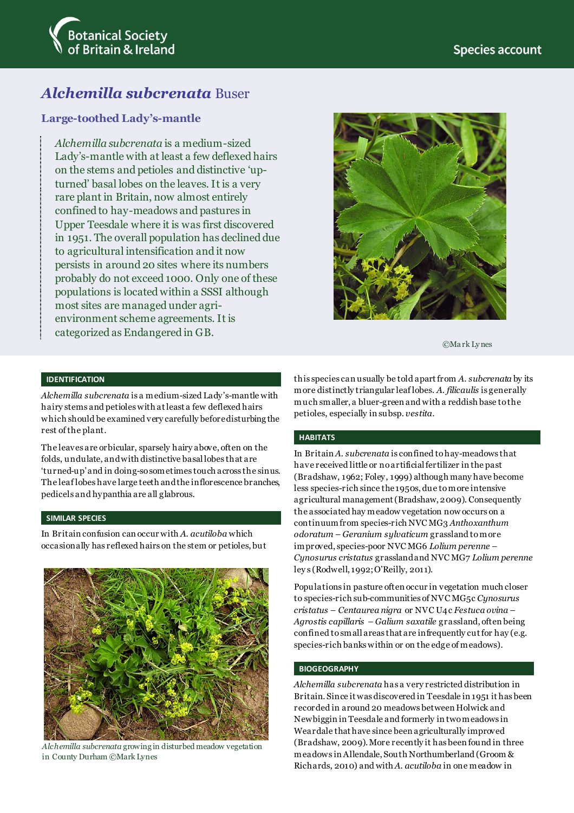

# *Alchemilla subcrenata* Buser

## **Large-toothed Lady's-mantle**

*Alchemilla subcrenata* is a medium-sized Lady's-mantle with at least a few deflexed hairs on the stems and petioles and distinctive 'upturned' basal lobes on the leaves. It is a very rare plant in Britain, now almost entirely confined to hay-meadows and pastures in Upper Teesdale where it is was first discovered in 1951. The overall population has declined due to agricultural intensification and it now persists in around 20 sites where its numbers probably do not exceed 1000. Only one of these populations is located within a SSSI although most sites are managed under agrienvironment scheme agreements. It is categorized as Endangered in GB.



©Ma rk Ly nes

#### **IDENTIFICATION**

*Alchemilla subcrenata* is a medium-sized Lady's-mantle with hairy stems and petioles with at least a few deflexed hairs which should be examined very carefully before disturbing the rest of the plant.

The leaves are orbicular, sparsely hairy above, often on the folds, undulate, and with distinctive basal lobes that are 'turned-up' and in doing-so sometimes touch across the sinus. The leaf lobes have large teeth and the inflorescence branches, pedicels and hypanthia are all glabrous.

## **SIMILAR SPECIES**

In Britain confusion can occur with *A. acutiloba* which occasionally has reflexed hairs on the stem or petioles, but



*Alchemilla subcrenata* growing in disturbed meadow vegetation in County Durham ©Mark Lynes

this species can usually be told apart from *A. subcrenata* by its more distinctly triangular leaf lobes. *A. filicaulis* is generally much smaller, a bluer-green and with a reddish base to the petioles, especially in subsp. *vestita*.

## **HABITATS**

In Britain *A. subcrenata* is confined to hay-meadows that have received little or no artificial fertilizer in the past (Bradshaw, 1962; Foley, 1999) although many have become less species-rich since the 1950s, due to more intensive agricultural management (Bradshaw, 2009). Consequently the associated hay meadow vegetation now occurs on a continuum from species-rich NVC MG3 *Anthoxanthum odoratum – Geranium sylvaticum* grassland to more improved, species-poor NVC MG6 *Lolium perenne – Cynosurus cristatus* grassland and NVC MG7 *Lolium perenne* ley s (Rodwell, 1992; O'Reilly, 2011).

Populations in pasture often occur in vegetation much closer to species-rich sub-communities of NVC MG5c *Cynosurus cristatus – Centaurea nigra* or NVC U4c *Festuca ovina – Agrostis capillaris – Galium saxatile* grassland, often being confined to small areas that are infrequently cut for hay (e.g. species-rich banks within or on the edge of meadows).

### **BIOGEOGRAPHY**

*Alchemilla subcrenata* has a very restricted distribution in Britain. Since it was discovered in Teesdale in 1951 it has been recorded in around 20 meadows between Holwick and Newbiggin in Teesdale and formerly in two meadows in Weardale that have since been agriculturally improved (Bradshaw, 2009). More recently it has been found in three meadows in Allendale, South Northumberland (Groom & Richards, 2010) and with *A. acutiloba* in one meadow in